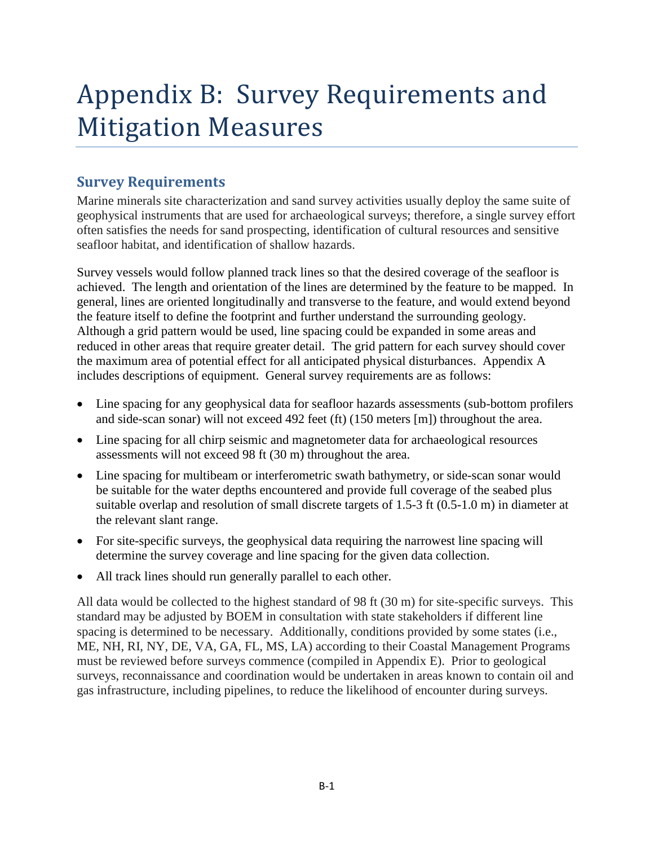# Appendix B: Survey Requirements and Mitigation Measures

# **Survey Requirements**

Marine minerals site characterization and sand survey activities usually deploy the same suite of geophysical instruments that are used for archaeological surveys; therefore, a single survey effort often satisfies the needs for sand prospecting, identification of cultural resources and sensitive seafloor habitat, and identification of shallow hazards.

Survey vessels would follow planned track lines so that the desired coverage of the seafloor is achieved. The length and orientation of the lines are determined by the feature to be mapped. In general, lines are oriented longitudinally and transverse to the feature, and would extend beyond the feature itself to define the footprint and further understand the surrounding geology. Although a grid pattern would be used, line spacing could be expanded in some areas and reduced in other areas that require greater detail. The grid pattern for each survey should cover the maximum area of potential effect for all anticipated physical disturbances. Appendix A includes descriptions of equipment. General survey requirements are as follows:

- Line spacing for any geophysical data for seafloor hazards assessments (sub-bottom profilers and side-scan sonar) will not exceed 492 feet (ft) (150 meters [m]) throughout the area.
- Line spacing for all chirp seismic and magnetometer data for archaeological resources assessments will not exceed 98 ft (30 m) throughout the area.
- Line spacing for multibeam or interferometric swath bathymetry, or side-scan sonar would be suitable for the water depths encountered and provide full coverage of the seabed plus suitable overlap and resolution of small discrete targets of 1.5-3 ft (0.5-1.0 m) in diameter at the relevant slant range.
- For site-specific surveys, the geophysical data requiring the narrowest line spacing will determine the survey coverage and line spacing for the given data collection.
- All track lines should run generally parallel to each other.

All data would be collected to the highest standard of 98 ft (30 m) for site-specific surveys. This standard may be adjusted by BOEM in consultation with state stakeholders if different line spacing is determined to be necessary. Additionally, conditions provided by some states (i.e., ME, NH, RI, NY, DE, VA, GA, FL, MS, LA) according to their Coastal Management Programs must be reviewed before surveys commence (compiled in Appendix E). Prior to geological surveys, reconnaissance and coordination would be undertaken in areas known to contain oil and gas infrastructure, including pipelines, to reduce the likelihood of encounter during surveys.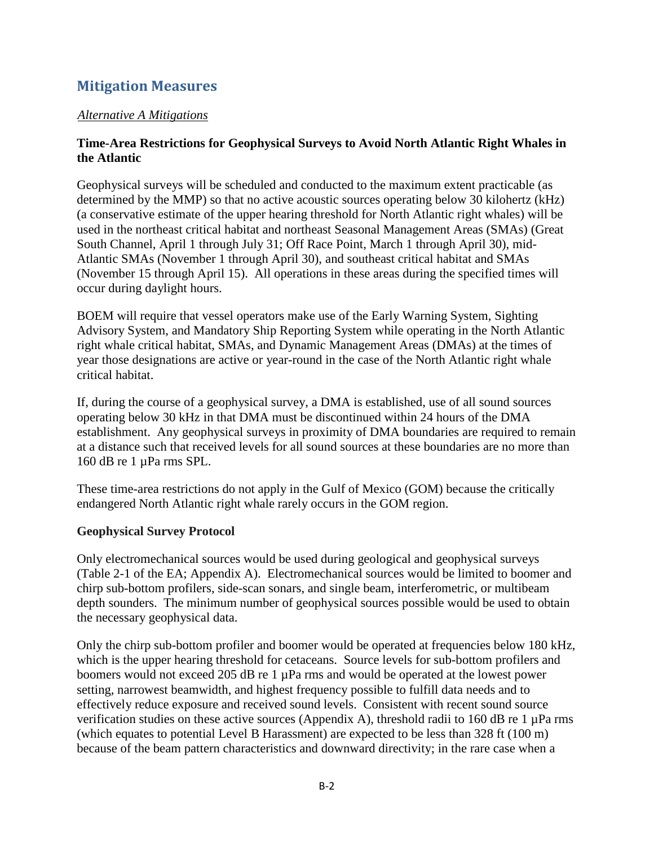# **Mitigation Measures**

#### <sup>U</sup>*Alternative A Mitigations*

#### **Time-Area Restrictions for Geophysical Surveys to Avoid North Atlantic Right Whales in the Atlantic**

Geophysical surveys will be scheduled and conducted to the maximum extent practicable (as determined by the MMP) so that no active acoustic sources operating below 30 kilohertz (kHz) (a conservative estimate of the upper hearing threshold for North Atlantic right whales) will be used in the northeast critical habitat and northeast Seasonal Management Areas (SMAs) (Great South Channel, April 1 through July 31; Off Race Point, March 1 through April 30), mid-Atlantic SMAs (November 1 through April 30), and southeast critical habitat and SMAs (November 15 through April 15). All operations in these areas during the specified times will occur during daylight hours.

BOEM will require that vessel operators make use of the Early Warning System, Sighting Advisory System, and Mandatory Ship Reporting System while operating in the North Atlantic right whale critical habitat, SMAs, and Dynamic Management Areas (DMAs) at the times of year those designations are active or year-round in the case of the North Atlantic right whale critical habitat.

If, during the course of a geophysical survey, a DMA is established, use of all sound sources operating below 30 kHz in that DMA must be discontinued within 24 hours of the DMA establishment. Any geophysical surveys in proximity of DMA boundaries are required to remain at a distance such that received levels for all sound sources at these boundaries are no more than 160 dB re 1 µPa rms SPL.

These time-area restrictions do not apply in the Gulf of Mexico (GOM) because the critically endangered North Atlantic right whale rarely occurs in the GOM region.

# **Geophysical Survey Protocol**

Only electromechanical sources would be used during geological and geophysical surveys (Table 2-1 of the EA; Appendix A). Electromechanical sources would be limited to boomer and chirp sub-bottom profilers, side-scan sonars, and single beam, interferometric, or multibeam depth sounders. The minimum number of geophysical sources possible would be used to obtain the necessary geophysical data.

Only the chirp sub-bottom profiler and boomer would be operated at frequencies below 180 kHz, which is the upper hearing threshold for cetaceans. Source levels for sub-bottom profilers and boomers would not exceed 205 dB re 1 µPa rms and would be operated at the lowest power setting, narrowest beamwidth, and highest frequency possible to fulfill data needs and to effectively reduce exposure and received sound levels. Consistent with recent sound source verification studies on these active sources (Appendix A), threshold radii to 160 dB re 1 µPa rms (which equates to potential Level B Harassment) are expected to be less than 328 ft (100 m) because of the beam pattern characteristics and downward directivity; in the rare case when a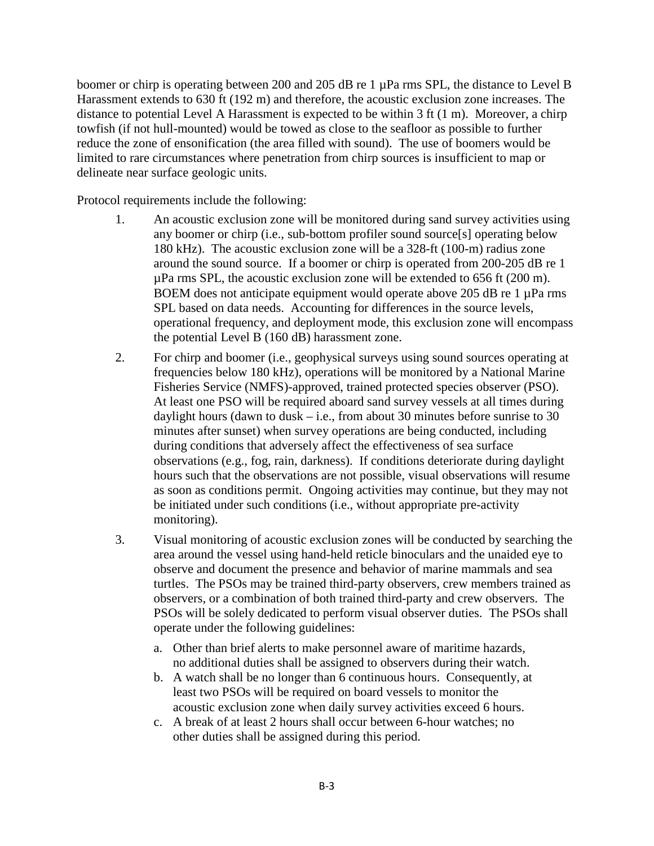boomer or chirp is operating between 200 and 205 dB re 1 µPa rms SPL, the distance to Level B Harassment extends to 630 ft (192 m) and therefore, the acoustic exclusion zone increases. The distance to potential Level A Harassment is expected to be within 3 ft (1 m). Moreover, a chirp towfish (if not hull-mounted) would be towed as close to the seafloor as possible to further reduce the zone of ensonification (the area filled with sound). The use of boomers would be limited to rare circumstances where penetration from chirp sources is insufficient to map or delineate near surface geologic units.

Protocol requirements include the following:

- 1. An acoustic exclusion zone will be monitored during sand survey activities using any boomer or chirp (i.e., sub-bottom profiler sound source[s] operating below 180 kHz). The acoustic exclusion zone will be a 328-ft (100-m) radius zone around the sound source. If a boomer or chirp is operated from 200-205 dB re 1  $\mu$ Pa rms SPL, the acoustic exclusion zone will be extended to 656 ft (200 m). BOEM does not anticipate equipment would operate above 205 dB re 1 µPa rms SPL based on data needs. Accounting for differences in the source levels, operational frequency, and deployment mode, this exclusion zone will encompass the potential Level B (160 dB) harassment zone.
- 2. For chirp and boomer (i.e., geophysical surveys using sound sources operating at frequencies below 180 kHz), operations will be monitored by a National Marine Fisheries Service (NMFS)-approved, trained protected species observer (PSO). At least one PSO will be required aboard sand survey vessels at all times during daylight hours (dawn to dusk  $-$  i.e., from about 30 minutes before sunrise to 30 minutes after sunset) when survey operations are being conducted, including during conditions that adversely affect the effectiveness of sea surface observations (e.g., fog, rain, darkness). If conditions deteriorate during daylight hours such that the observations are not possible, visual observations will resume as soon as conditions permit. Ongoing activities may continue, but they may not be initiated under such conditions (i.e., without appropriate pre-activity monitoring).
- 3. Visual monitoring of acoustic exclusion zones will be conducted by searching the area around the vessel using hand-held reticle binoculars and the unaided eye to observe and document the presence and behavior of marine mammals and sea turtles. The PSOs may be trained third-party observers, crew members trained as observers, or a combination of both trained third-party and crew observers. The PSOs will be solely dedicated to perform visual observer duties. The PSOs shall operate under the following guidelines:
	- a. Other than brief alerts to make personnel aware of maritime hazards, no additional duties shall be assigned to observers during their watch.
	- b. A watch shall be no longer than 6 continuous hours. Consequently, at least two PSOs will be required on board vessels to monitor the acoustic exclusion zone when daily survey activities exceed 6 hours.
	- c. A break of at least 2 hours shall occur between 6-hour watches; no other duties shall be assigned during this period.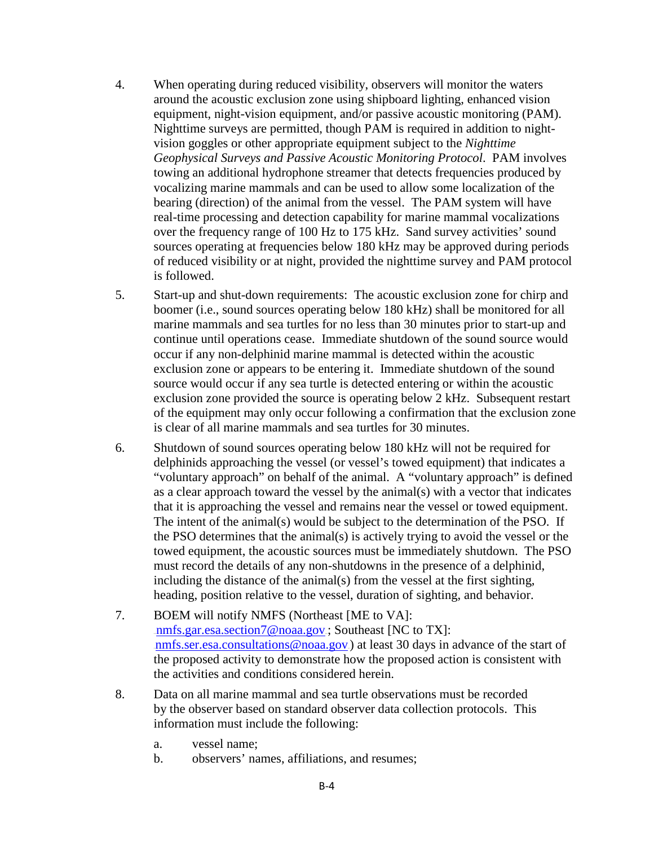- 4. When operating during reduced visibility, observers will monitor the waters around the acoustic exclusion zone using shipboard lighting, enhanced vision equipment, night-vision equipment, and/or passive acoustic monitoring (PAM). Nighttime surveys are permitted, though PAM is required in addition to nightvision goggles or other appropriate equipment subject to the *Nighttime Geophysical Surveys and Passive Acoustic Monitoring Protocol*. PAM involves towing an additional hydrophone streamer that detects frequencies produced by vocalizing marine mammals and can be used to allow some localization of the bearing (direction) of the animal from the vessel. The PAM system will have real-time processing and detection capability for marine mammal vocalizations over the frequency range of 100 Hz to 175 kHz. Sand survey activities' sound sources operating at frequencies below 180 kHz may be approved during periods of reduced visibility or at night, provided the nighttime survey and PAM protocol is followed.
- 5. Start-up and shut-down requirements: The acoustic exclusion zone for chirp and boomer (i.e., sound sources operating below 180 kHz) shall be monitored for all marine mammals and sea turtles for no less than 30 minutes prior to start-up and continue until operations cease. Immediate shutdown of the sound source would occur if any non-delphinid marine mammal is detected within the acoustic exclusion zone or appears to be entering it. Immediate shutdown of the sound source would occur if any sea turtle is detected entering or within the acoustic exclusion zone provided the source is operating below 2 kHz. Subsequent restart of the equipment may only occur following a confirmation that the exclusion zone is clear of all marine mammals and sea turtles for 30 minutes.
- 6. Shutdown of sound sources operating below 180 kHz will not be required for delphinids approaching the vessel (or vessel's towed equipment) that indicates a "voluntary approach" on behalf of the animal. A "voluntary approach" is defined as a clear approach toward the vessel by the animal(s) with a vector that indicates that it is approaching the vessel and remains near the vessel or towed equipment. The intent of the animal(s) would be subject to the determination of the PSO. If the PSO determines that the animal(s) is actively trying to avoid the vessel or the towed equipment, the acoustic sources must be immediately shutdown. The PSO must record the details of any non-shutdowns in the presence of a delphinid, including the distance of the animal(s) from the vessel at the first sighting, heading, position relative to the vessel, duration of sighting, and behavior.
- 7. BOEM will notify NMFS (Northeast [ME to VA]:  $10 \text{mfs.gar.}$ esa.section7@noaa.gov: Southeast [NC to TX]:  $nms.ser.esa. consulations@noaa.gov$ ) at least 30 days in advance of the start of the proposed activity to demonstrate how the proposed action is consistent with the activities and conditions considered herein.
- 8. Data on all marine mammal and sea turtle observations must be recorded by the observer based on standard observer data collection protocols. This information must include the following:
	- a. vessel name;
	- b. observers' names, affiliations, and resumes;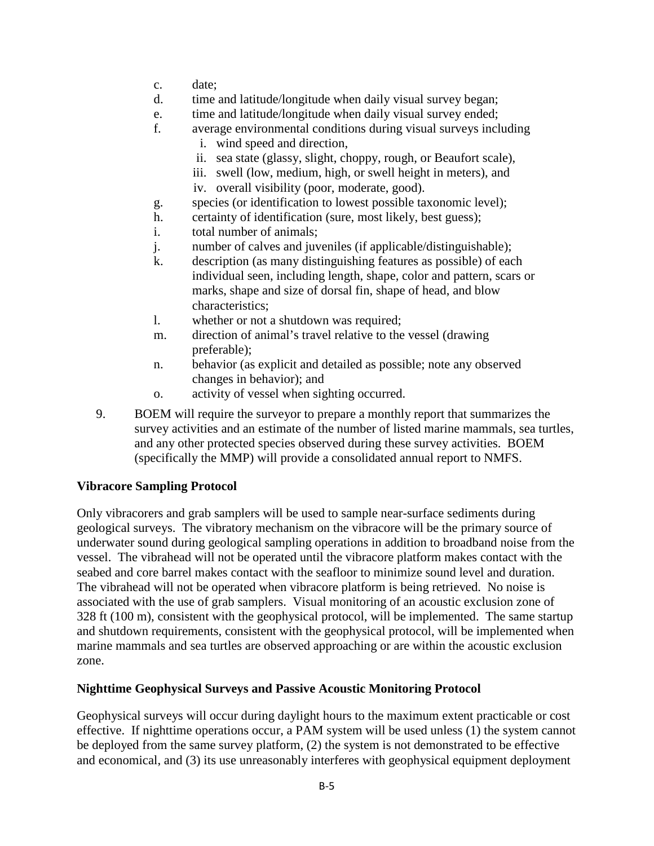- c. date;
- d. time and latitude/longitude when daily visual survey began;
- e. time and latitude/longitude when daily visual survey ended;
- f. average environmental conditions during visual surveys including
	- i. wind speed and direction,
	- ii. sea state (glassy, slight, choppy, rough, or Beaufort scale),
	- iii. swell (low, medium, high, or swell height in meters), and
	- iv. overall visibility (poor, moderate, good).
- g. species (or identification to lowest possible taxonomic level);
- h. certainty of identification (sure, most likely, best guess);
- i. total number of animals;
- j. number of calves and juveniles (if applicable/distinguishable);
- k. description (as many distinguishing features as possible) of each individual seen, including length, shape, color and pattern, scars or marks, shape and size of dorsal fin, shape of head, and blow characteristics;
- l. whether or not a shutdown was required;
- m. direction of animal's travel relative to the vessel (drawing preferable);
- n. behavior (as explicit and detailed as possible; note any observed changes in behavior); and
- o. activity of vessel when sighting occurred.
- 9. BOEM will require the surveyor to prepare a monthly report that summarizes the survey activities and an estimate of the number of listed marine mammals, sea turtles, and any other protected species observed during these survey activities. BOEM (specifically the MMP) will provide a consolidated annual report to NMFS.

# **Vibracore Sampling Protocol**

Only vibracorers and grab samplers will be used to sample near-surface sediments during geological surveys. The vibratory mechanism on the vibracore will be the primary source of underwater sound during geological sampling operations in addition to broadband noise from the vessel. The vibrahead will not be operated until the vibracore platform makes contact with the seabed and core barrel makes contact with the seafloor to minimize sound level and duration. The vibrahead will not be operated when vibracore platform is being retrieved. No noise is associated with the use of grab samplers. Visual monitoring of an acoustic exclusion zone of 328 ft (100 m), consistent with the geophysical protocol, will be implemented. The same startup and shutdown requirements, consistent with the geophysical protocol, will be implemented when marine mammals and sea turtles are observed approaching or are within the acoustic exclusion zone.

# **Nighttime Geophysical Surveys and Passive Acoustic Monitoring Protocol**

Geophysical surveys will occur during daylight hours to the maximum extent practicable or cost effective. If nighttime operations occur, a PAM system will be used unless (1) the system cannot be deployed from the same survey platform, (2) the system is not demonstrated to be effective and economical, and (3) its use unreasonably interferes with geophysical equipment deployment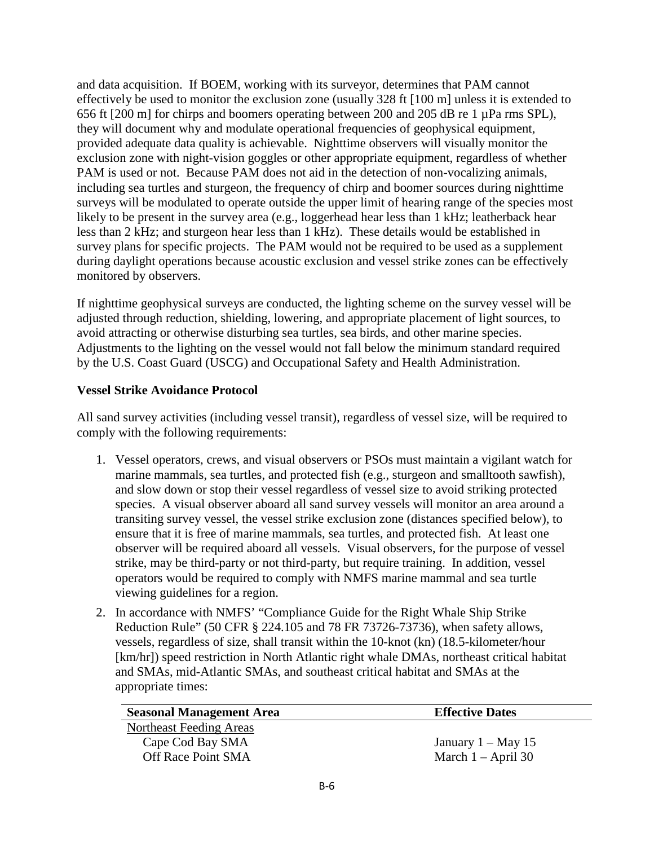and data acquisition. If BOEM, working with its surveyor, determines that PAM cannot effectively be used to monitor the exclusion zone (usually 328 ft [100 m] unless it is extended to 656 ft [200 m] for chirps and boomers operating between 200 and 205 dB re 1 µPa rms SPL), they will document why and modulate operational frequencies of geophysical equipment, provided adequate data quality is achievable. Nighttime observers will visually monitor the exclusion zone with night-vision goggles or other appropriate equipment, regardless of whether PAM is used or not. Because PAM does not aid in the detection of non-vocalizing animals, including sea turtles and sturgeon, the frequency of chirp and boomer sources during nighttime surveys will be modulated to operate outside the upper limit of hearing range of the species most likely to be present in the survey area (e.g., loggerhead hear less than 1 kHz; leatherback hear less than 2 kHz; and sturgeon hear less than 1 kHz). These details would be established in survey plans for specific projects. The PAM would not be required to be used as a supplement during daylight operations because acoustic exclusion and vessel strike zones can be effectively monitored by observers.

If nighttime geophysical surveys are conducted, the lighting scheme on the survey vessel will be adjusted through reduction, shielding, lowering, and appropriate placement of light sources, to avoid attracting or otherwise disturbing sea turtles, sea birds, and other marine species. Adjustments to the lighting on the vessel would not fall below the minimum standard required by the U.S. Coast Guard (USCG) and Occupational Safety and Health Administration.

#### **Vessel Strike Avoidance Protocol**

All sand survey activities (including vessel transit), regardless of vessel size, will be required to comply with the following requirements:

- 1. Vessel operators, crews, and visual observers or PSOs must maintain a vigilant watch for marine mammals, sea turtles, and protected fish (e.g., sturgeon and smalltooth sawfish), and slow down or stop their vessel regardless of vessel size to avoid striking protected species. A visual observer aboard all sand survey vessels will monitor an area around a transiting survey vessel, the vessel strike exclusion zone (distances specified below), to ensure that it is free of marine mammals, sea turtles, and protected fish. At least one observer will be required aboard all vessels. Visual observers, for the purpose of vessel strike, may be third-party or not third-party, but require training. In addition, vessel operators would be required to comply with NMFS marine mammal and sea turtle viewing guidelines for a region.
- 2. In accordance with NMFS' "Compliance Guide for the Right Whale Ship Strike Reduction Rule" (50 CFR § 224.105 and 78 FR 73726-73736), when safety allows, vessels, regardless of size, shall transit within the 10-knot (kn) (18.5-kilometer/hour [km/hr]) speed restriction in North Atlantic right whale DMAs, northeast critical habitat and SMAs, mid-Atlantic SMAs, and southeast critical habitat and SMAs at the appropriate times:

| <b>Seasonal Management Area</b> | <b>Effective Dates</b> |
|---------------------------------|------------------------|
| Northeast Feeding Areas         |                        |
| Cape Cod Bay SMA                | January $1 - May 15$   |
| Off Race Point SMA              | March $1 -$ April 30   |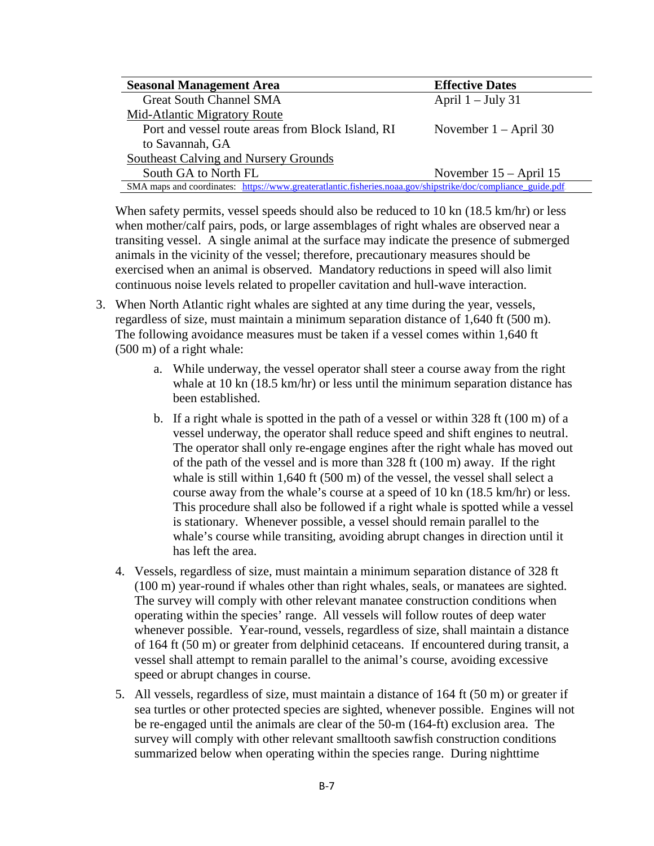| <b>Seasonal Management Area</b>                                                                              | <b>Effective Dates</b>   |
|--------------------------------------------------------------------------------------------------------------|--------------------------|
| <b>Great South Channel SMA</b>                                                                               | April $1 -$ July 31      |
| Mid-Atlantic Migratory Route                                                                                 |                          |
| Port and vessel route areas from Block Island, RI                                                            | November $1 -$ April 30  |
| to Savannah, GA                                                                                              |                          |
| Southeast Calving and Nursery Grounds                                                                        |                          |
| South GA to North FL                                                                                         | November $15 - April 15$ |
| SMA maps and coordinates: https://www.greateratlantic.fisheries.noaa.gov/shipstrike/doc/compliance_guide.pdf |                          |

When safety permits, vessel speeds should also be reduced to 10 kn (18.5 km/hr) or less when mother/calf pairs, pods, or large assemblages of right whales are observed near a transiting vessel. A single animal at the surface may indicate the presence of submerged animals in the vicinity of the vessel; therefore, precautionary measures should be exercised when an animal is observed. Mandatory reductions in speed will also limit continuous noise levels related to propeller cavitation and hull-wave interaction.

- 3. When North Atlantic right whales are sighted at any time during the year, vessels, regardless of size, must maintain a minimum separation distance of 1,640 ft (500 m). The following avoidance measures must be taken if a vessel comes within 1,640 ft (500 m) of a right whale:
	- a. While underway, the vessel operator shall steer a course away from the right whale at 10 kn (18.5 km/hr) or less until the minimum separation distance has been established.
	- b. If a right whale is spotted in the path of a vessel or within 328 ft (100 m) of a vessel underway, the operator shall reduce speed and shift engines to neutral. The operator shall only re-engage engines after the right whale has moved out of the path of the vessel and is more than 328 ft (100 m) away. If the right whale is still within 1,640 ft (500 m) of the vessel, the vessel shall select a course away from the whale's course at a speed of 10 kn (18.5 km/hr) or less. This procedure shall also be followed if a right whale is spotted while a vessel is stationary. Whenever possible, a vessel should remain parallel to the whale's course while transiting, avoiding abrupt changes in direction until it has left the area.
	- 4. Vessels, regardless of size, must maintain a minimum separation distance of 328 ft (100 m) year-round if whales other than right whales, seals, or manatees are sighted. The survey will comply with other relevant manatee construction conditions when operating within the species' range. All vessels will follow routes of deep water whenever possible. Year-round, vessels, regardless of size, shall maintain a distance of 164 ft (50 m) or greater from delphinid cetaceans. If encountered during transit, a vessel shall attempt to remain parallel to the animal's course, avoiding excessive speed or abrupt changes in course.
	- 5. All vessels, regardless of size, must maintain a distance of 164 ft (50 m) or greater if sea turtles or other protected species are sighted, whenever possible. Engines will not be re-engaged until the animals are clear of the 50-m (164-ft) exclusion area. The survey will comply with other relevant smalltooth sawfish construction conditions summarized below when operating within the species range. During nighttime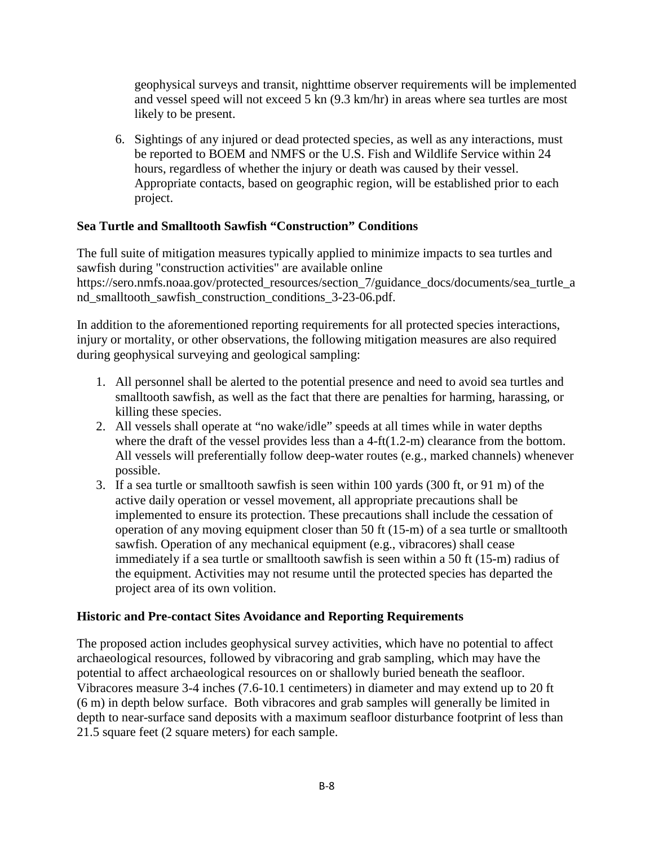geophysical surveys and transit, nighttime observer requirements will be implemented and vessel speed will not exceed 5 kn (9.3 km/hr) in areas where sea turtles are most likely to be present.

6. Sightings of any injured or dead protected species, as well as any interactions, must be reported to BOEM and NMFS or the U.S. Fish and Wildlife Service within 24 hours, regardless of whether the injury or death was caused by their vessel. Appropriate contacts, based on geographic region, will be established prior to each project.

# **Sea Turtle and Smalltooth Sawfish "Construction" Conditions**

The full suite of mitigation measures typically applied to minimize impacts to sea turtles and sawfish during "construction activities" are available online https://sero.nmfs.noaa.gov/protected\_resources/section\_7/guidance\_docs/documents/sea\_turtle\_a nd\_smalltooth\_sawfish\_construction\_conditions\_3-23-06.pdf.

In addition to the aforementioned reporting requirements for all protected species interactions, injury or mortality, or other observations, the following mitigation measures are also required during geophysical surveying and geological sampling:

- 1. All personnel shall be alerted to the potential presence and need to avoid sea turtles and smalltooth sawfish, as well as the fact that there are penalties for harming, harassing, or killing these species.
- 2. All vessels shall operate at "no wake/idle" speeds at all times while in water depths where the draft of the vessel provides less than a 4-ft(1.2-m) clearance from the bottom. All vessels will preferentially follow deep-water routes (e.g., marked channels) whenever possible.
- 3. If a sea turtle or smalltooth sawfish is seen within 100 yards (300 ft, or 91 m) of the active daily operation or vessel movement, all appropriate precautions shall be implemented to ensure its protection. These precautions shall include the cessation of operation of any moving equipment closer than 50 ft (15-m) of a sea turtle or smalltooth sawfish. Operation of any mechanical equipment (e.g., vibracores) shall cease immediately if a sea turtle or smalltooth sawfish is seen within a 50 ft (15-m) radius of the equipment. Activities may not resume until the protected species has departed the project area of its own volition.

# **Historic and Pre-contact Sites Avoidance and Reporting Requirements**

The proposed action includes geophysical survey activities, which have no potential to affect archaeological resources, followed by vibracoring and grab sampling, which may have the potential to affect archaeological resources on or shallowly buried beneath the seafloor. Vibracores measure 3-4 inches (7.6-10.1 centimeters) in diameter and may extend up to 20 ft (6 m) in depth below surface. Both vibracores and grab samples will generally be limited in depth to near-surface sand deposits with a maximum seafloor disturbance footprint of less than 21.5 square feet (2 square meters) for each sample.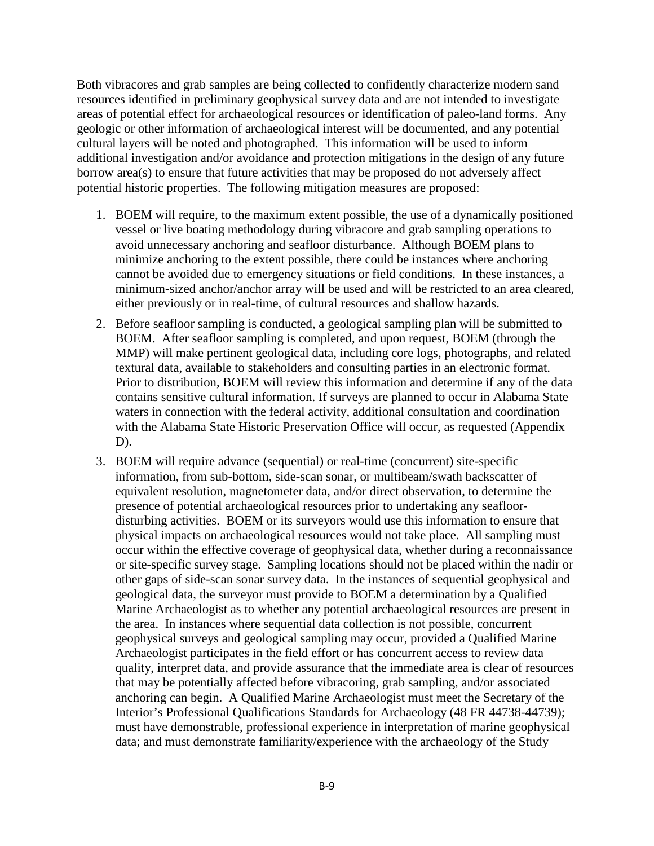Both vibracores and grab samples are being collected to confidently characterize modern sand resources identified in preliminary geophysical survey data and are not intended to investigate areas of potential effect for archaeological resources or identification of paleo-land forms. Any geologic or other information of archaeological interest will be documented, and any potential cultural layers will be noted and photographed. This information will be used to inform additional investigation and/or avoidance and protection mitigations in the design of any future borrow area(s) to ensure that future activities that may be proposed do not adversely affect potential historic properties. The following mitigation measures are proposed:

- 1. BOEM will require, to the maximum extent possible, the use of a dynamically positioned vessel or live boating methodology during vibracore and grab sampling operations to avoid unnecessary anchoring and seafloor disturbance. Although BOEM plans to minimize anchoring to the extent possible, there could be instances where anchoring cannot be avoided due to emergency situations or field conditions. In these instances, a minimum-sized anchor/anchor array will be used and will be restricted to an area cleared, either previously or in real-time, of cultural resources and shallow hazards.
- 2. Before seafloor sampling is conducted, a geological sampling plan will be submitted to BOEM. After seafloor sampling is completed, and upon request, BOEM (through the MMP) will make pertinent geological data, including core logs, photographs, and related textural data, available to stakeholders and consulting parties in an electronic format. Prior to distribution, BOEM will review this information and determine if any of the data contains sensitive cultural information. If surveys are planned to occur in Alabama State waters in connection with the federal activity, additional consultation and coordination with the Alabama State Historic Preservation Office will occur, as requested (Appendix D).
- 3. BOEM will require advance (sequential) or real-time (concurrent) site-specific information, from sub-bottom, side-scan sonar, or multibeam/swath backscatter of equivalent resolution, magnetometer data, and/or direct observation, to determine the presence of potential archaeological resources prior to undertaking any seafloordisturbing activities. BOEM or its surveyors would use this information to ensure that physical impacts on archaeological resources would not take place. All sampling must occur within the effective coverage of geophysical data, whether during a reconnaissance or site-specific survey stage. Sampling locations should not be placed within the nadir or other gaps of side-scan sonar survey data. In the instances of sequential geophysical and geological data, the surveyor must provide to BOEM a determination by a Qualified Marine Archaeologist as to whether any potential archaeological resources are present in the area. In instances where sequential data collection is not possible, concurrent geophysical surveys and geological sampling may occur, provided a Qualified Marine Archaeologist participates in the field effort or has concurrent access to review data quality, interpret data, and provide assurance that the immediate area is clear of resources that may be potentially affected before vibracoring, grab sampling, and/or associated anchoring can begin. A Qualified Marine Archaeologist must meet the Secretary of the Interior's Professional Qualifications Standards for Archaeology (48 FR 44738-44739); must have demonstrable, professional experience in interpretation of marine geophysical data; and must demonstrate familiarity/experience with the archaeology of the Study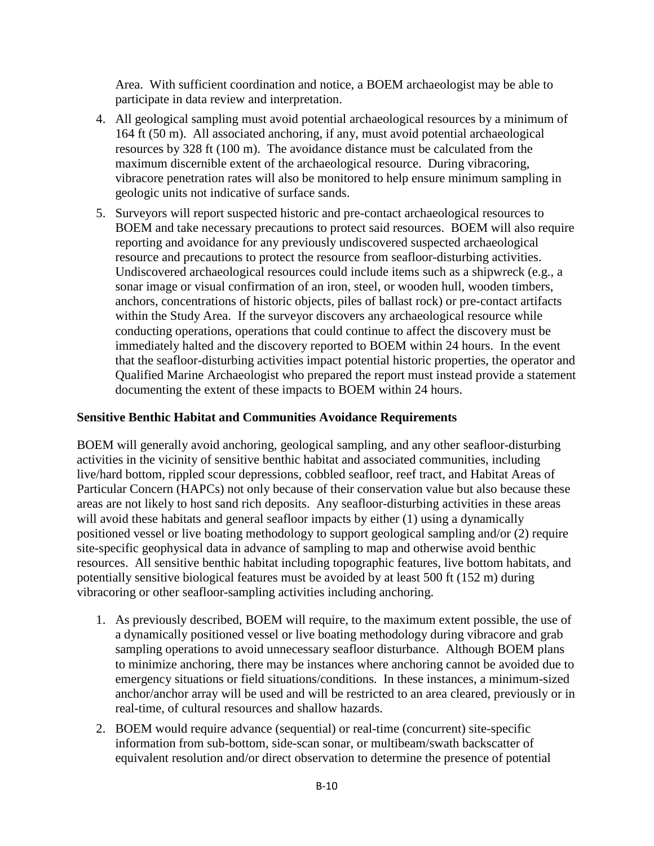Area. With sufficient coordination and notice, a BOEM archaeologist may be able to participate in data review and interpretation.

- 4. All geological sampling must avoid potential archaeological resources by a minimum of 164 ft (50 m). All associated anchoring, if any, must avoid potential archaeological resources by 328 ft (100 m). The avoidance distance must be calculated from the maximum discernible extent of the archaeological resource. During vibracoring, vibracore penetration rates will also be monitored to help ensure minimum sampling in geologic units not indicative of surface sands.
- 5. Surveyors will report suspected historic and pre-contact archaeological resources to BOEM and take necessary precautions to protect said resources. BOEM will also require reporting and avoidance for any previously undiscovered suspected archaeological resource and precautions to protect the resource from seafloor-disturbing activities. Undiscovered archaeological resources could include items such as a shipwreck (e.g., a sonar image or visual confirmation of an iron, steel, or wooden hull, wooden timbers, anchors, concentrations of historic objects, piles of ballast rock) or pre-contact artifacts within the Study Area. If the surveyor discovers any archaeological resource while conducting operations, operations that could continue to affect the discovery must be immediately halted and the discovery reported to BOEM within 24 hours. In the event that the seafloor-disturbing activities impact potential historic properties, the operator and Qualified Marine Archaeologist who prepared the report must instead provide a statement documenting the extent of these impacts to BOEM within 24 hours.

#### **Sensitive Benthic Habitat and Communities Avoidance Requirements**

BOEM will generally avoid anchoring, geological sampling, and any other seafloor-disturbing activities in the vicinity of sensitive benthic habitat and associated communities, including live/hard bottom, rippled scour depressions, cobbled seafloor, reef tract, and Habitat Areas of Particular Concern (HAPCs) not only because of their conservation value but also because these areas are not likely to host sand rich deposits. Any seafloor-disturbing activities in these areas will avoid these habitats and general seafloor impacts by either (1) using a dynamically positioned vessel or live boating methodology to support geological sampling and/or (2) require site-specific geophysical data in advance of sampling to map and otherwise avoid benthic resources. All sensitive benthic habitat including topographic features, live bottom habitats, and potentially sensitive biological features must be avoided by at least 500 ft (152 m) during vibracoring or other seafloor-sampling activities including anchoring.

- 1. As previously described, BOEM will require, to the maximum extent possible, the use of a dynamically positioned vessel or live boating methodology during vibracore and grab sampling operations to avoid unnecessary seafloor disturbance. Although BOEM plans to minimize anchoring, there may be instances where anchoring cannot be avoided due to emergency situations or field situations/conditions. In these instances, a minimum-sized anchor/anchor array will be used and will be restricted to an area cleared, previously or in real-time, of cultural resources and shallow hazards.
- 2. BOEM would require advance (sequential) or real-time (concurrent) site-specific information from sub-bottom, side-scan sonar, or multibeam/swath backscatter of equivalent resolution and/or direct observation to determine the presence of potential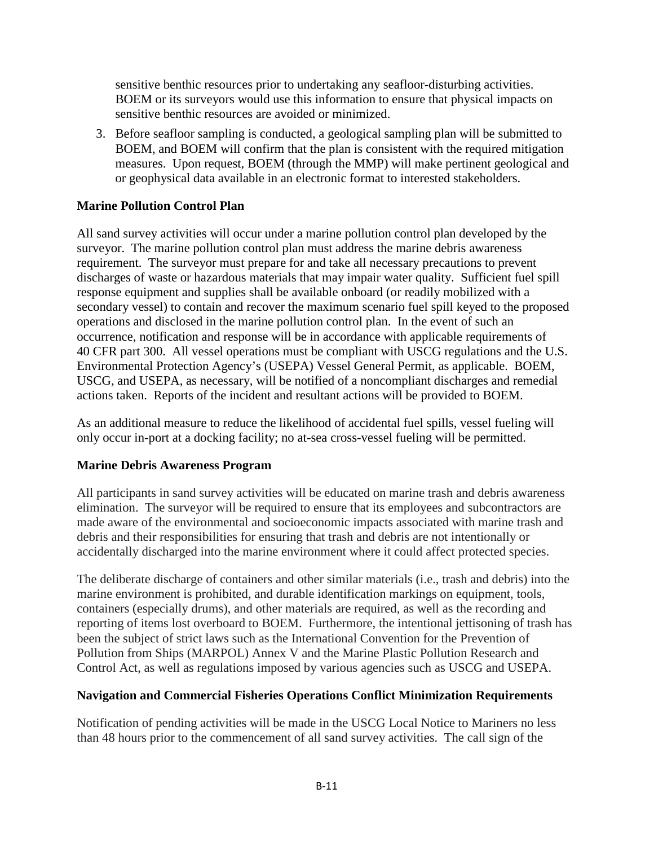sensitive benthic resources prior to undertaking any seafloor-disturbing activities. BOEM or its surveyors would use this information to ensure that physical impacts on sensitive benthic resources are avoided or minimized.

3. Before seafloor sampling is conducted, a geological sampling plan will be submitted to BOEM, and BOEM will confirm that the plan is consistent with the required mitigation measures. Upon request, BOEM (through the MMP) will make pertinent geological and or geophysical data available in an electronic format to interested stakeholders.

# **Marine Pollution Control Plan**

All sand survey activities will occur under a marine pollution control plan developed by the surveyor. The marine pollution control plan must address the marine debris awareness requirement. The surveyor must prepare for and take all necessary precautions to prevent discharges of waste or hazardous materials that may impair water quality. Sufficient fuel spill response equipment and supplies shall be available onboard (or readily mobilized with a secondary vessel) to contain and recover the maximum scenario fuel spill keyed to the proposed operations and disclosed in the marine pollution control plan. In the event of such an occurrence, notification and response will be in accordance with applicable requirements of 40 CFR part 300. All vessel operations must be compliant with USCG regulations and the U.S. Environmental Protection Agency's (USEPA) Vessel General Permit, as applicable. BOEM, USCG, and USEPA, as necessary, will be notified of a noncompliant discharges and remedial actions taken. Reports of the incident and resultant actions will be provided to BOEM.

As an additional measure to reduce the likelihood of accidental fuel spills, vessel fueling will only occur in-port at a docking facility; no at-sea cross-vessel fueling will be permitted.

# **Marine Debris Awareness Program**

All participants in sand survey activities will be educated on marine trash and debris awareness elimination. The surveyor will be required to ensure that its employees and subcontractors are made aware of the environmental and socioeconomic impacts associated with marine trash and debris and their responsibilities for ensuring that trash and debris are not intentionally or accidentally discharged into the marine environment where it could affect protected species.

The deliberate discharge of containers and other similar materials (i.e., trash and debris) into the marine environment is prohibited, and durable identification markings on equipment, tools, containers (especially drums), and other materials are required, as well as the recording and reporting of items lost overboard to BOEM. Furthermore, the intentional jettisoning of trash has been the subject of strict laws such as the International Convention for the Prevention of Pollution from Ships (MARPOL) Annex V and the Marine Plastic Pollution Research and Control Act, as well as regulations imposed by various agencies such as USCG and USEPA.

# **Navigation and Commercial Fisheries Operations Conflict Minimization Requirements**

Notification of pending activities will be made in the USCG Local Notice to Mariners no less than 48 hours prior to the commencement of all sand survey activities. The call sign of the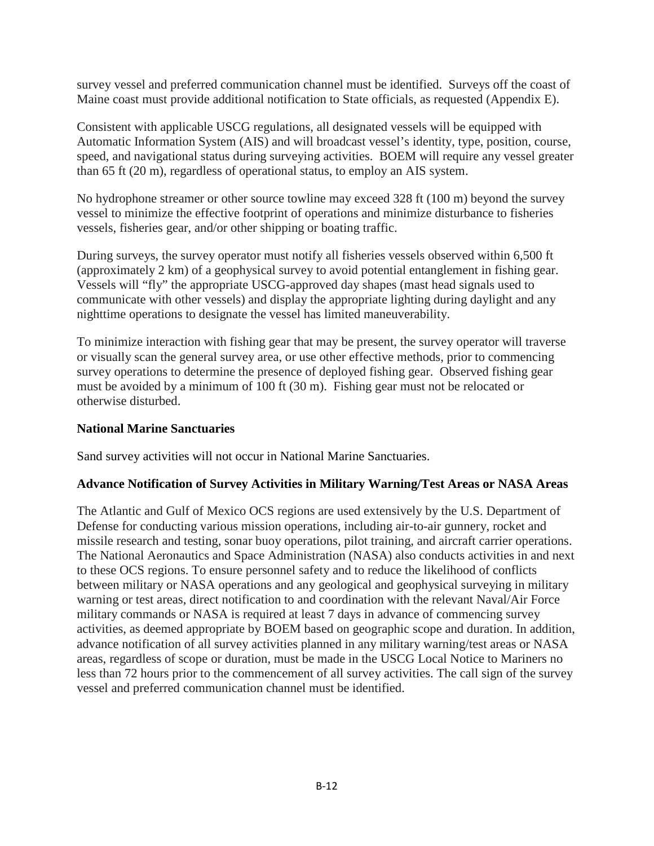survey vessel and preferred communication channel must be identified. Surveys off the coast of Maine coast must provide additional notification to State officials, as requested (Appendix E).

Consistent with applicable USCG regulations, all designated vessels will be equipped with Automatic Information System (AIS) and will broadcast vessel's identity, type, position, course, speed, and navigational status during surveying activities. BOEM will require any vessel greater than 65 ft (20 m), regardless of operational status, to employ an AIS system.

No hydrophone streamer or other source towline may exceed 328 ft (100 m) beyond the survey vessel to minimize the effective footprint of operations and minimize disturbance to fisheries vessels, fisheries gear, and/or other shipping or boating traffic.

During surveys, the survey operator must notify all fisheries vessels observed within 6,500 ft (approximately 2 km) of a geophysical survey to avoid potential entanglement in fishing gear. Vessels will "fly" the appropriate USCG-approved day shapes (mast head signals used to communicate with other vessels) and display the appropriate lighting during daylight and any nighttime operations to designate the vessel has limited maneuverability.

To minimize interaction with fishing gear that may be present, the survey operator will traverse or visually scan the general survey area, or use other effective methods, prior to commencing survey operations to determine the presence of deployed fishing gear. Observed fishing gear must be avoided by a minimum of 100 ft (30 m). Fishing gear must not be relocated or otherwise disturbed.

# **National Marine Sanctuaries**

Sand survey activities will not occur in National Marine Sanctuaries.

# **Advance Notification of Survey Activities in Military Warning/Test Areas or NASA Areas**

The Atlantic and Gulf of Mexico OCS regions are used extensively by the U.S. Department of Defense for conducting various mission operations, including air-to-air gunnery, rocket and missile research and testing, sonar buoy operations, pilot training, and aircraft carrier operations. The National Aeronautics and Space Administration (NASA) also conducts activities in and next to these OCS regions. To ensure personnel safety and to reduce the likelihood of conflicts between military or NASA operations and any geological and geophysical surveying in military warning or test areas, direct notification to and coordination with the relevant Naval/Air Force military commands or NASA is required at least 7 days in advance of commencing survey activities, as deemed appropriate by BOEM based on geographic scope and duration. In addition, advance notification of all survey activities planned in any military warning/test areas or NASA areas, regardless of scope or duration, must be made in the USCG Local Notice to Mariners no less than 72 hours prior to the commencement of all survey activities. The call sign of the survey vessel and preferred communication channel must be identified.